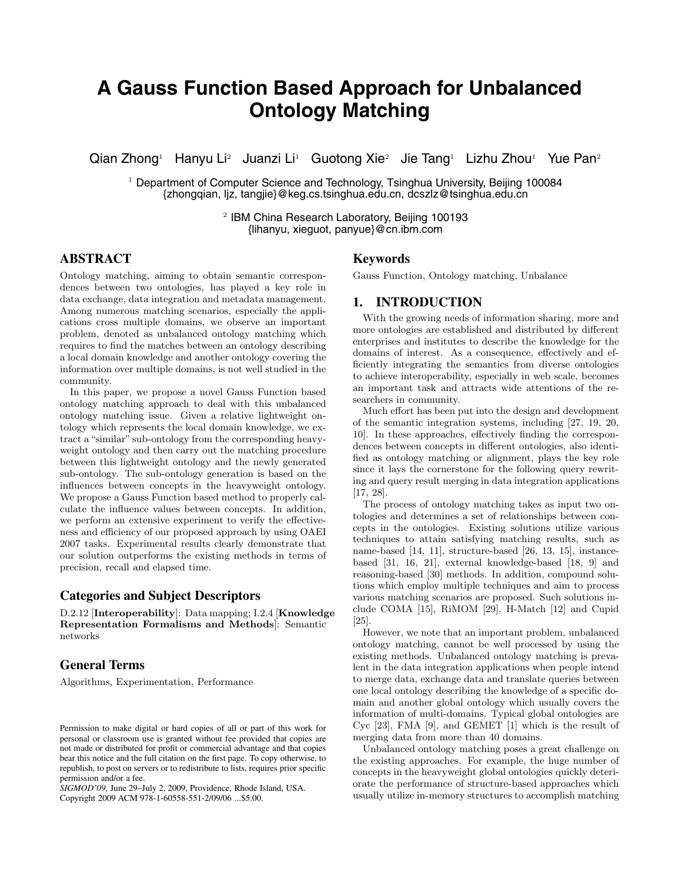# **A Gauss Function Based Approach for Unbalanced Ontology Matching**

Qian Zhong<sup>1</sup> Hanyu Li<sup>2</sup> Juanzi Li<sup>1</sup> Guotong Xie<sup>2</sup> Jie Tang<sup>1</sup> Lizhu Zhou<sup>1</sup> Yue Pan<sup>2</sup>

<sup>1</sup> Department of Computer Science and Technology, Tsinghua University, Beijing 100084 {zhongqian, ljz, tangjie}@keg.cs.tsinghua.edu.cn, dcszlz@tsinghua.edu.cn

> <sup>2</sup> IBM China Research Laboratory, Beijing 100193 {lihanyu, xieguot, panyue}@cn.ibm.com

# **ABSTRACT**

Ontology matching, aiming to obtain semantic correspondences between two ontologies, has played a key role in data exchange, data integration and metadata management. Among numerous matching scenarios, especially the applications cross multiple domains, we observe an important problem, denoted as unbalanced ontology matching which requires to find the matches between an ontology describing a local domain knowledge and another ontology covering the information over multiple domains, is not well studied in the community.

In this paper, we propose a novel Gauss Function based ontology matching approach to deal with this unbalanced ontology matching issue. Given a relative lightweight ontology which represents the local domain knowledge, we extract a "similar" sub-ontology from the corresponding heavyweight ontology and then carry out the matching procedure between this lightweight ontology and the newly generated sub-ontology. The sub-ontology generation is based on the influences between concepts in the heavyweight ontology. We propose a Gauss Function based method to properly calculate the influence values between concepts. In addition, we perform an extensive experiment to verify the effectiveness and efficiency of our proposed approach by using OAEI 2007 tasks. Experimental results clearly demonstrate that our solution outperforms the existing methods in terms of precision, recall and elapsed time.

## **Categories and Subject Descriptors**

D.2.12 [**Interoperability**]: Data mapping; I.2.4 [**Knowledge Representation Formalisms and Methods**]: Semantic networks

# **General Terms**

Algorithms, Experimentation, Performance

*SIGMOD'09,* June 29–July 2, 2009, Providence, Rhode Island, USA. Copyright 2009 ACM 978-1-60558-551-2/09/06 ...\$5.00.

## **Keywords**

Gauss Function, Ontology matching, Unbalance

## **1. INTRODUCTION**

With the growing needs of information sharing, more and more ontologies are established and distributed by different enterprises and institutes to describe the knowledge for the domains of interest. As a consequence, effectively and efficiently integrating the semantics from diverse ontologies to achieve interoperability, especially in web scale, becomes an important task and attracts wide attentions of the researchers in community.

Much effort has been put into the design and development of the semantic integration systems, including [27, 19, 20, 10]. In these approaches, effectively finding the correspondences between concepts in different ontologies, also identified as ontology matching or alignment, plays the key role since it lays the cornerstone for the following query rewriting and query result merging in data integration applications [17, 28].

The process of ontology matching takes as input two ontologies and determines a set of relationships between concepts in the ontologies. Existing solutions utilize various techniques to attain satisfying matching results, such as name-based [14, 11], structure-based [26, 13, 15], instancebased [31, 16, 21], external knowledge-based [18, 9] and reasoning-based [30] methods. In addition, compound solutions which employ multiple techniques and aim to process various matching scenarios are proposed. Such solutions include COMA [15], RiMOM [29], H-Match [12] and Cupid [25].

However, we note that an important problem, unbalanced ontology matching, cannot be well processed by using the existing methods. Unbalanced ontology matching is prevalent in the data integration applications when people intend to merge data, exchange data and translate queries between one local ontology describing the knowledge of a specific domain and another global ontology which usually covers the information of multi-domains. Typical global ontologies are Cyc [23], FMA [9], and GEMET [1] which is the result of merging data from more than 40 domains.

Unbalanced ontology matching poses a great challenge on the existing approaches. For example, the huge number of concepts in the heavyweight global ontologies quickly deteriorate the performance of structure-based approaches which usually utilize in-memory structures to accomplish matching

Permission to make digital or hard copies of all or part of this work for personal or classroom use is granted without fee provided that copies are not made or distributed for profit or commercial advantage and that copies bear this notice and the full citation on the first page. To copy otherwise, to republish, to post on servers or to redistribute to lists, requires prior specific permission and/or a fee.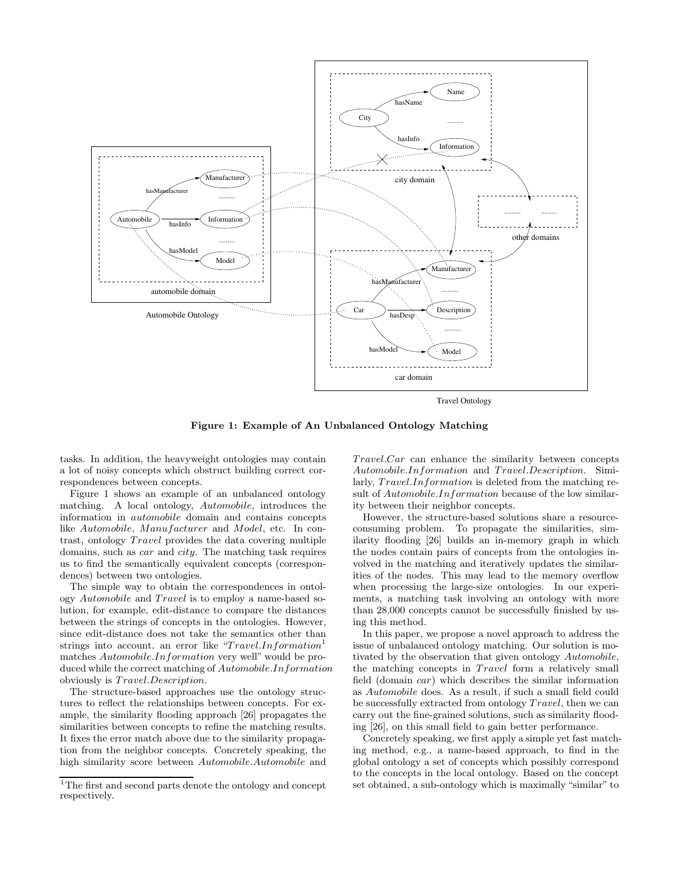

**Figure 1: Example of An Unbalanced Ontology Matching**

tasks. In addition, the heavyweight ontologies may contain a lot of noisy concepts which obstruct building correct correspondences between concepts.

Figure 1 shows an example of an unbalanced ontology matching. A local ontology, Automobile, introduces the information in automobile domain and contains concepts like Automobile, Manufacturer and Model, etc. In contrast, ontology *Travel* provides the data covering multiple domains, such as car and city. The matching task requires us to find the semantically equivalent concepts (correspondences) between two ontologies.

The simple way to obtain the correspondences in ontology Automobile and Travel is to employ a name-based solution, for example, edit-distance to compare the distances between the strings of concepts in the ontologies. However, since edit-distance does not take the semantics other than strings into account, an error like "Travel.Information<sup>1</sup> matches Automobile.Information very well" would be produced while the correct matching of Automobile.Information obviously is  $Travel. Description.$ 

The structure-based approaches use the ontology structures to reflect the relationships between concepts. For example, the similarity flooding approach [26] propagates the similarities between concepts to refine the matching results. It fixes the error match above due to the similarity propagation from the neighbor concepts. Concretely speaking, the high similarity score between Automobile.Automobile and  $Travel.Car$  can enhance the similarity between concepts Automobile.Information and Travel.Description. Similarly,  $Travel. Information$  is deleted from the matching result of Automobile.Information because of the low similarity between their neighbor concepts.

However, the structure-based solutions share a resourceconsuming problem. To propagate the similarities, similarity flooding [26] builds an in-memory graph in which the nodes contain pairs of concepts from the ontologies involved in the matching and iteratively updates the similarities of the nodes. This may lead to the memory overflow when processing the large-size ontologies. In our experiments, a matching task involving an ontology with more than 28,000 concepts cannot be successfully finished by using this method.

In this paper, we propose a novel approach to address the issue of unbalanced ontology matching. Our solution is motivated by the observation that given ontology Automobile, the matching concepts in *Travel* form a relatively small field (domain car) which describes the similar information as Automobile does. As a result, if such a small field could be successfully extracted from ontology  $Travel$ , then we can carry out the fine-grained solutions, such as similarity flooding [26], on this small field to gain better performance.

Concretely speaking, we first apply a simple yet fast matching method, e.g., a name-based approach, to find in the global ontology a set of concepts which possibly correspond to the concepts in the local ontology. Based on the concept set obtained, a sub-ontology which is maximally "similar" to

 $^{\rm 1}{\rm The\ first}$  and second parts denote the ontology and concept respectively.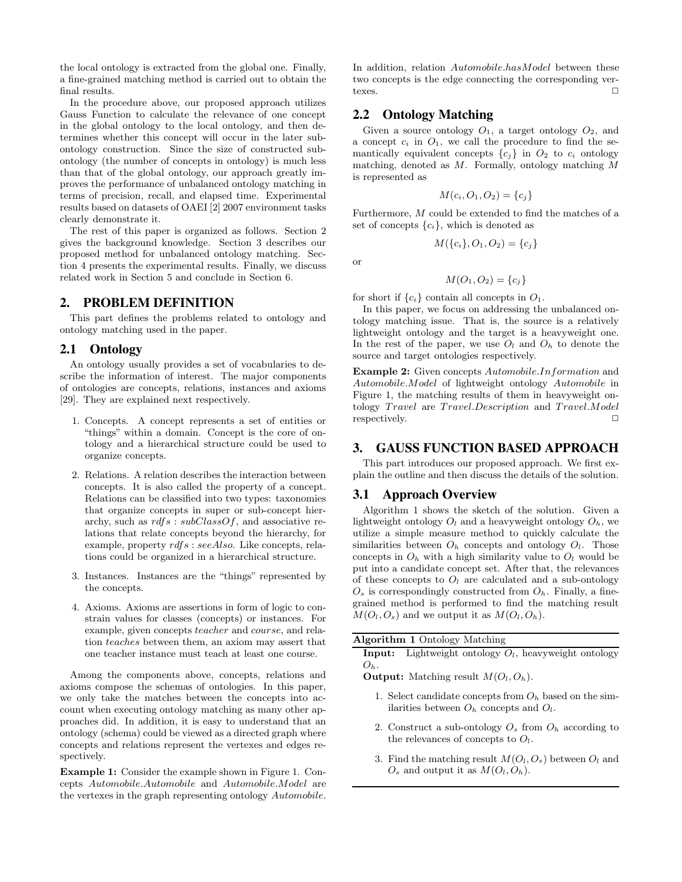the local ontology is extracted from the global one. Finally, a fine-grained matching method is carried out to obtain the final results.

In the procedure above, our proposed approach utilizes Gauss Function to calculate the relevance of one concept in the global ontology to the local ontology, and then determines whether this concept will occur in the later subontology construction. Since the size of constructed subontology (the number of concepts in ontology) is much less than that of the global ontology, our approach greatly improves the performance of unbalanced ontology matching in terms of precision, recall, and elapsed time. Experimental results based on datasets of OAEI [2] 2007 environment tasks clearly demonstrate it.

The rest of this paper is organized as follows. Section 2 gives the background knowledge. Section 3 describes our proposed method for unbalanced ontology matching. Section 4 presents the experimental results. Finally, we discuss related work in Section 5 and conclude in Section 6.

## **2. PROBLEM DEFINITION**

This part defines the problems related to ontology and ontology matching used in the paper.

## **2.1 Ontology**

An ontology usually provides a set of vocabularies to describe the information of interest. The major components of ontologies are concepts, relations, instances and axioms [29]. They are explained next respectively.

- 1. Concepts. A concept represents a set of entities or "things" within a domain. Concept is the core of ontology and a hierarchical structure could be used to organize concepts.
- 2. Relations. A relation describes the interaction between concepts. It is also called the property of a concept. Relations can be classified into two types: taxonomies that organize concepts in super or sub-concept hierarchy, such as  $rdfs : subClassOf$ , and associative relations that relate concepts beyond the hierarchy, for example, property rdfs : seeAlso. Like concepts, relations could be organized in a hierarchical structure.
- 3. Instances. Instances are the "things" represented by the concepts.
- 4. Axioms. Axioms are assertions in form of logic to constrain values for classes (concepts) or instances. For example, given concepts teacher and course, and relation teaches between them, an axiom may assert that one teacher instance must teach at least one course.

Among the components above, concepts, relations and axioms compose the schemas of ontologies. In this paper, we only take the matches between the concepts into account when executing ontology matching as many other approaches did. In addition, it is easy to understand that an ontology (schema) could be viewed as a directed graph where concepts and relations represent the vertexes and edges respectively.

**Example 1:** Consider the example shown in Figure 1. Concepts Automobile.Automobile and Automobile.Model are the vertexes in the graph representing ontology Automobile.

In addition, relation Automobile.hasModel between these two concepts is the edge connecting the corresponding vertexes.  $\Box$ 

## **2.2 Ontology Matching**

Given a source ontology  $O_1$ , a target ontology  $O_2$ , and a concept  $c_i$  in  $O_1$ , we call the procedure to find the semantically equivalent concepts  ${c_j}$  in  $O_2$  to  $c_i$  ontology matching, denoted as M. Formally, ontology matching M is represented as

$$
M(c_i, O_1, O_2) = \{c_j\}
$$

Furthermore, M could be extended to find the matches of a set of concepts  $\{c_i\}$ , which is denoted as

 $M({c_i}, O_1, O_2) = {c_i}$ 

or

$$
M(O_1,O_2)=\{c_j\}
$$

for short if  $\{c_i\}$  contain all concepts in  $O_1$ .

In this paper, we focus on addressing the unbalanced ontology matching issue. That is, the source is a relatively lightweight ontology and the target is a heavyweight one. In the rest of the paper, we use  $O_l$  and  $O_h$  to denote the source and target ontologies respectively.

**Example 2:** Given concepts Automobile.Information and Automobile.Model of lightweight ontology Automobile in Figure 1, the matching results of them in heavyweight ontology Travel are Travel. Description and Travel. Model respectively.

## **3. GAUSS FUNCTION BASED APPROACH**

This part introduces our proposed approach. We first explain the outline and then discuss the details of the solution.

## **3.1 Approach Overview**

Algorithm 1 shows the sketch of the solution. Given a lightweight ontology  $O_l$  and a heavyweight ontology  $O_h$ , we utilize a simple measure method to quickly calculate the similarities between  $O_h$  concepts and ontology  $O_l$ . Those concepts in  $O_h$  with a high similarity value to  $O_l$  would be put into a candidate concept set. After that, the relevances of these concepts to  $O_l$  are calculated and a sub-ontology  $O_s$  is correspondingly constructed from  $O_h$ . Finally, a finegrained method is performed to find the matching result  $M(O_l, O_s)$  and we output it as  $M(O_l, O_h)$ .

| <b>Algorithm 1 Ontology Matching</b>                                                                      |
|-----------------------------------------------------------------------------------------------------------|
| <b>Input:</b> Lightweight ontology $O_l$ , heavyweight ontology                                           |
| $O_{b}$ .                                                                                                 |
| <b>Output:</b> Matching result $M(O_l, O_h)$ .                                                            |
| 1. Select candidate concepts from $O_h$ based on the sim-<br>ilarities between $O_h$ concepts and $O_l$ . |
| 2. Construct a sub-ontology $O_s$ from $O_h$ according to<br>the relevances of concepts to $O_l$ .        |

3. Find the matching result  $M(O_l, O_s)$  between  $O_l$  and  $O_s$  and output it as  $M(O_l, O_h)$ .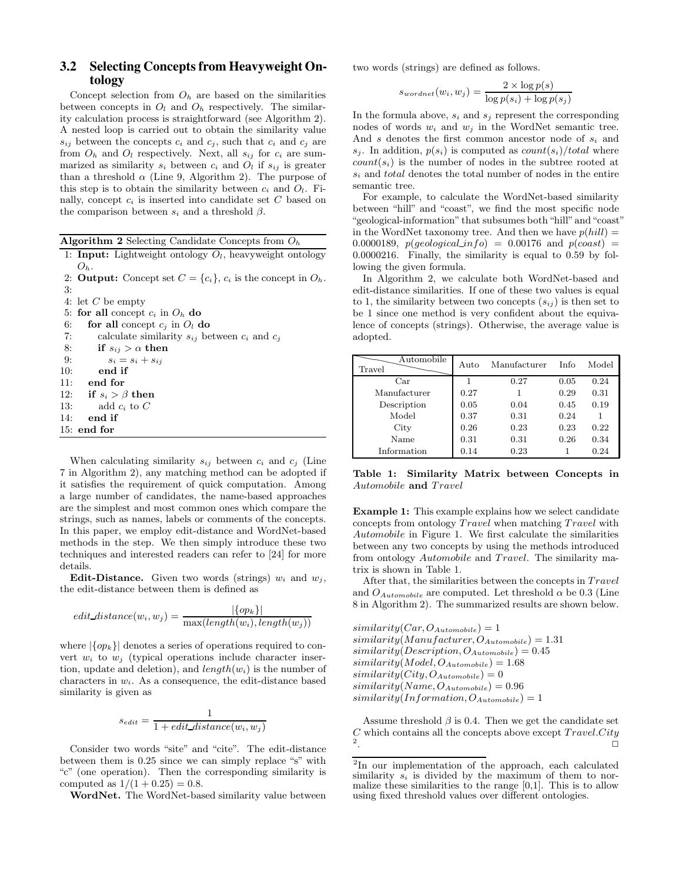# **3.2 Selecting Concepts from Heavyweight Ontology**

Concept selection from  $O_h$  are based on the similarities between concepts in  $O_l$  and  $O_h$  respectively. The similarity calculation process is straightforward (see Algorithm 2). A nested loop is carried out to obtain the similarity value  $s_{ij}$  between the concepts  $c_i$  and  $c_j$ , such that  $c_i$  and  $c_j$  are from  $O_h$  and  $O_l$  respectively. Next, all  $s_{ij}$  for  $c_i$  are summarized as similarity  $s_i$  between  $c_i$  and  $O_l$  if  $s_{ij}$  is greater than a threshold  $\alpha$  (Line 9, Algorithm 2). The purpose of this step is to obtain the similarity between  $c_i$  and  $O_l$ . Finally, concept c*<sup>i</sup>* is inserted into candidate set C based on the comparison between  $s_i$  and a threshold  $\beta$ .

| <b>Algorithm 2</b> Selecting Candidate Concepts from $O_h$ |  |  |  |
|------------------------------------------------------------|--|--|--|

|         |  | 1: <b>Input:</b> Lightweight ontology $O_l$ , heavyweight ontology |  |
|---------|--|--------------------------------------------------------------------|--|
| $O_h$ . |  |                                                                    |  |

2: **Output:** Concept set  $C = \{c_i\}$ ,  $c_i$  is the concept in  $O_h$ . 3:

```
4: let C be empty
```
5: **for all** concept  $c_i$  in  $O_h$  **do** 

6: **for all** concept  $c_j$  in  $O_l$  **do** 

| 7:  | calculate similarity $s_{ij}$ between $c_i$ and $c_j$ |  |
|-----|-------------------------------------------------------|--|
| 8:  | if $s_{ij} > \alpha$ then                             |  |
| 9:  | $s_i = s_i + s_{ij}$                                  |  |
| 10: | end if                                                |  |
|     | $11:$ end for                                         |  |
|     | 12: if $s_i > \beta$ then                             |  |
|     | 13: add $c_i$ to $C$                                  |  |
| 14: | end if                                                |  |
|     | $15:$ end for                                         |  |
|     |                                                       |  |

When calculating similarity  $s_{ij}$  between  $c_i$  and  $c_j$  (Line 7 in Algorithm 2), any matching method can be adopted if it satisfies the requirement of quick computation. Among a large number of candidates, the name-based approaches are the simplest and most common ones which compare the strings, such as names, labels or comments of the concepts. In this paper, we employ edit-distance and WordNet-based methods in the step. We then simply introduce these two techniques and interested readers can refer to [24] for more details.

**Edit-Distance.** Given two words (strings)  $w_i$  and  $w_j$ , the edit-distance between them is defined as

$$
edit\_distance(w_i, w_j) = \frac{|\{op_k\}|}{\max(length(w_i), length(w_j))}
$$

where  $|\{op_k\}|$  denotes a series of operations required to convert  $w_i$  to  $w_j$  (typical operations include character insertion, update and deletion), and length(w*i*) is the number of characters in w*i*. As a consequence, the edit-distance based similarity is given as

$$
s_{edit} = \frac{1}{1 + edit\_distance(w_i, w_j)}
$$

Consider two words "site" and "cite". The edit-distance between them is 0.25 since we can simply replace "s" with "c" (one operation). Then the corresponding similarity is computed as  $1/(1 + 0.25) = 0.8$ .

**WordNet.** The WordNet-based similarity value between

two words (strings) are defined as follows.

$$
s_{wordnet}(w_i, w_j) = \frac{2 \times \log p(s)}{\log p(s_i) + \log p(s_j)}
$$

In the formula above,  $s_i$  and  $s_j$  represent the corresponding nodes of words  $w_i$  and  $w_j$  in the WordNet semantic tree. And s denotes the first common ancestor node of s*<sup>i</sup>* and  $s_i$ . In addition,  $p(s_i)$  is computed as *count* $(s_i)/total$  where  $count(s_i)$  is the number of nodes in the subtree rooted at s*<sup>i</sup>* and total denotes the total number of nodes in the entire semantic tree.

For example, to calculate the WordNet-based similarity between "hill" and "coast", we find the most specific node "geological-information" that subsumes both "hill" and "coast" in the WordNet taxonomy tree. And then we have  $p(hill)$  = 0.0000189,  $p(geological_info) = 0.00176$  and  $p(coast) =$ 0.0000216. Finally, the similarity is equal to 0.59 by following the given formula.

In Algorithm 2, we calculate both WordNet-based and edit-distance similarities. If one of these two values is equal to 1, the similarity between two concepts  $(s_{ij})$  is then set to be 1 since one method is very confident about the equivalence of concepts (strings). Otherwise, the average value is adopted.

| Automobile<br>Travel | Auto | Manufacturer | Info | Model |
|----------------------|------|--------------|------|-------|
| Car                  |      | 0.27         | 0.05 | 0.24  |
| Manufacturer         | 0.27 |              | 0.29 | 0.31  |
| Description          | 0.05 | 0.04         | 0.45 | 0.19  |
| Model                | 0.37 | 0.31         | 0.24 |       |
| City                 | 0.26 | 0.23         | 0.23 | 0.22  |
| Name                 | 0.31 | 0.31         | 0.26 | 0.34  |
| Information          | 0.14 | 0.23         |      | 0.24  |

**Table 1: Similarity Matrix between Concepts in** Automobile and Travel

**Example 1:** This example explains how we select candidate concepts from ontology  $Travel$  when matching  $Travel$  with Automobile in Figure 1. We first calculate the similarities between any two concepts by using the methods introduced from ontology Automobile and Travel. The similarity matrix is shown in Table 1.

After that, the similarities between the concepts in  $Travel$ and  $O_{Automobile}$  are computed. Let threshold  $\alpha$  be 0.3 (Line 8 in Algorithm 2). The summarized results are shown below.

 $similarity(Car, O_{Automobile})=1$  $similarity(Manufacturer, O<sub>Automobile</sub>)=1.31$  $similarity(Description, O_{Automobile})=0.45$  $similarity(Model, O_{Automobile})=1.68$  $similarity(City, O_{Automobile})=0$  $similarity(Name, O_{Automobile})=0.96$  $similarity(Information, O_{Automobile})=1$ 

Assume threshold  $\beta$  is 0.4. Then we get the candidate set  $C$  which contains all the concepts above except  $Travel.City$  $2.$ 

<sup>2</sup>In our implementation of the approach, each calculated similarity  $s_i$  is divided by the maximum of them to normalize these similarities to the range  $[0,1]$ . This is to allow using fixed threshold values over different ontologies.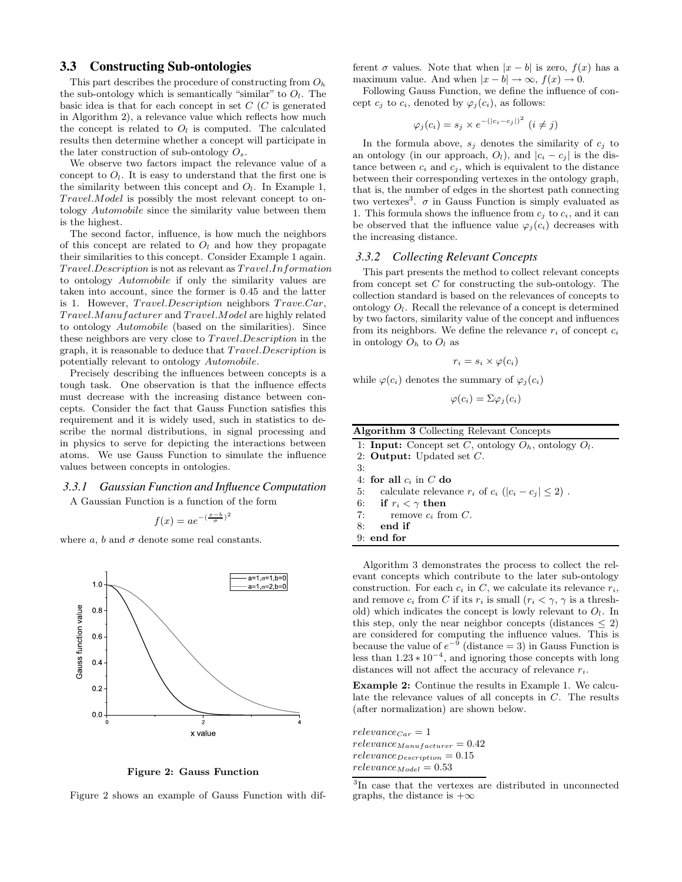## **3.3 Constructing Sub-ontologies**

This part describes the procedure of constructing from O*<sup>h</sup>* the sub-ontology which is semantically "similar" to  $O_l$ . The basic idea is that for each concept in set  $C(C)$  is generated in Algorithm 2), a relevance value which reflects how much the concept is related to  $O_l$  is computed. The calculated results then determine whether a concept will participate in the later construction of sub-ontology O*s*.

We observe two factors impact the relevance value of a concept to  $O_l$ . It is easy to understand that the first one is the similarity between this concept and  $O_l$ . In Example 1, Travel.*Model* is possibly the most relevant concept to ontology Automobile since the similarity value between them is the highest.

The second factor, influence, is how much the neighbors of this concept are related to  $O_l$  and how they propagate their similarities to this concept. Consider Example 1 again.  $Travel. Description$  is not as relevant as  $Travel. Information$ to ontology Automobile if only the similarity values are taken into account, since the former is 0.45 and the latter is 1. However,  $Travel. Description$  neighbors  $Trave. Car$ , Travel.Manufacturer and Travel.Model are highly related to ontology Automobile (based on the similarities). Since these neighbors are very close to *Travel.Description* in the graph, it is reasonable to deduce that  $Travel. Description$  is potentially relevant to ontology Automobile.

Precisely describing the influences between concepts is a tough task. One observation is that the influence effects must decrease with the increasing distance between concepts. Consider the fact that Gauss Function satisfies this requirement and it is widely used, such in statistics to describe the normal distributions, in signal processing and in physics to serve for depicting the interactions between atoms. We use Gauss Function to simulate the influence values between concepts in ontologies.

#### *3.3.1 Gaussian Function and Influence Computation*

A Gaussian Function is a function of the form

$$
f(x) = ae^{-(\frac{x-b}{\sigma})^2}
$$

where  $a, b$  and  $\sigma$  denote some real constants.



**Figure 2: Gauss Function**

Figure 2 shows an example of Gauss Function with dif-

ferent  $\sigma$  values. Note that when  $|x - b|$  is zero,  $f(x)$  has a maximum value. And when  $|x - b| \to \infty$ ,  $f(x) \to 0$ .

Following Gauss Function, we define the influence of concept  $c_j$  to  $c_i$ , denoted by  $\varphi_j(c_i)$ , as follows:

$$
\varphi_j(c_i) = s_j \times e^{-(|c_i - c_j|)^2} \ (i \neq j)
$$

In the formula above,  $s_j$  denotes the similarity of  $c_j$  to an ontology (in our approach,  $O_l$ ), and  $|c_i - c_j|$  is the distance between  $c_i$  and  $c_j$ , which is equivalent to the distance between their corresponding vertexes in the ontology graph, that is, the number of edges in the shortest path connecting two vertexes<sup>3</sup>.  $\sigma$  in Gauss Function is simply evaluated as 1. This formula shows the influence from  $c_j$  to  $c_i$ , and it can be observed that the influence value  $\varphi_j(c_i)$  decreases with the increasing distance.

#### *3.3.2 Collecting Relevant Concepts*

This part presents the method to collect relevant concepts from concept set  $C$  for constructing the sub-ontology. The collection standard is based on the relevances of concepts to ontology O*l*. Recall the relevance of a concept is determined by two factors, similarity value of the concept and influences from its neighbors. We define the relevance  $r_i$  of concept  $c_i$ in ontology  $O_h$  to  $O_l$  as

$$
r_i = s_i \times \varphi(c_i)
$$

while  $\varphi(c_i)$  denotes the summary of  $\varphi_j(c_i)$ 

$$
\varphi(c_i) = \Sigma \varphi_j(c_i)
$$

| <b>Algorithm 3 Collecting Relevant Concepts</b>                   |  |
|-------------------------------------------------------------------|--|
| 1: <b>Input:</b> Concept set C, ontology $O_h$ , ontology $O_l$ . |  |

2: **Output:** Updated set C.

3:

- 4: **for all** c*<sup>i</sup>* in C **do**
- 5: calculate relevance  $r_i$  of  $c_i$  ( $|c_i c_j| \leq 2$ ).
- 6: **if**  $r_i < \gamma$  then
- 7: remove  $c_i$  from  $C$ .
- 8: **end if**

9: **end for**

Algorithm 3 demonstrates the process to collect the relevant concepts which contribute to the later sub-ontology construction. For each  $c_i$  in  $C$ , we calculate its relevance  $r_i$ , and remove  $c_i$  from C if its  $r_i$  is small  $(r_i < \gamma, \gamma$  is a threshold) which indicates the concept is lowly relevant to O*l*. In this step, only the near neighbor concepts (distances  $\leq$  2) are considered for computing the influence values. This is because the value of  $e^{-9}$  (distance = 3) in Gauss Function is less than 1.23 ∗ 10*−*<sup>4</sup>, and ignoring those concepts with long distances will not affect the accuracy of relevance r*i*.

**Example 2:** Continue the results in Example 1. We calculate the relevance values of all concepts in C. The results (after normalization) are shown below.

 $relevance_{Car} = 1$ relevance*Manufacturer* = 0.42 relevance*Description* = 0.15  $relevance_{Model} = 0.53$ 

<sup>3</sup>In case that the vertexes are distributed in unconnected graphs, the distance is  $+\infty$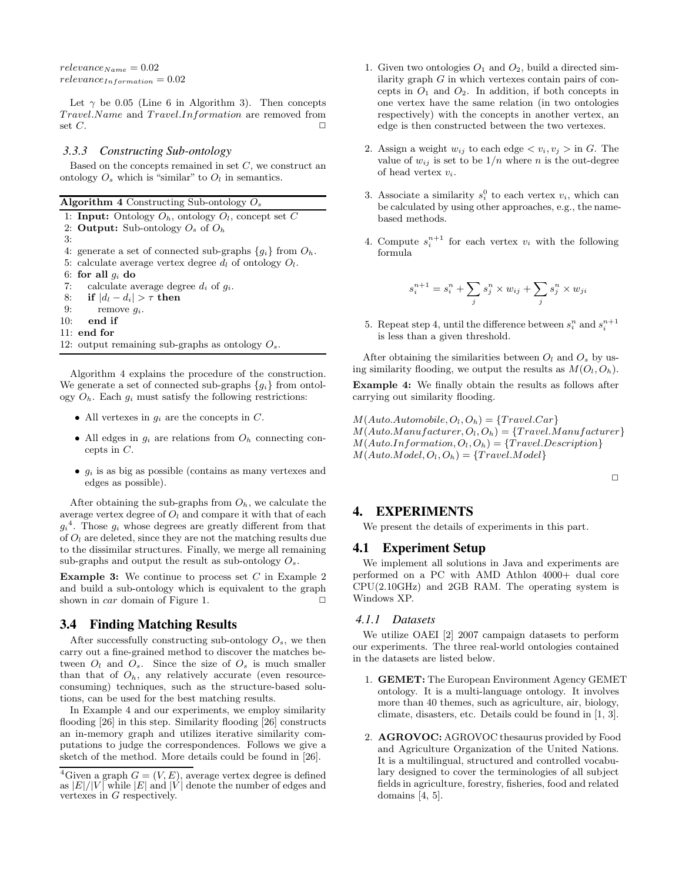$relevance_{Name} = 0.02$  $relevance_{Information} = 0.02$ 

Let  $\gamma$  be 0.05 (Line 6 in Algorithm 3). Then concepts Travel.Name and Travel.Information are removed from set  $C$ .

#### *3.3.3 Constructing Sub-ontology*

Based on the concepts remained in set  $C$ , we construct an ontology  $O_s$  which is "similar" to  $O_l$  in semantics.

|  |  |  |  | Algorithm 4 Constructing Sub-ontology $O_s$ |  |
|--|--|--|--|---------------------------------------------|--|
|--|--|--|--|---------------------------------------------|--|

1: **Input:** Ontology  $O_h$ , ontology  $O_l$ , concept set C

2: **Output:** Sub-ontology O*<sup>s</sup>* of O*<sup>h</sup>*

3: 4: generate a set of connected sub-graphs  ${g_i}$  from  $O_h$ . 5: calculate average vertex degree  $d_l$  of ontology  $O_l$ . 6: for all  $q_i$  do 7: calculate average degree d*<sup>i</sup>* of g*i*. 8: **if**  $|d_i - d_i| > \tau$  **then** 9: remove g*i*. 10: **end if** 11: **end for** 12: output remaining sub-graphs as ontology O*s*.

Algorithm 4 explains the procedure of the construction. We generate a set of connected sub-graphs  ${g_i}$  from ontology  $O_h$ . Each  $g_i$  must satisfy the following restrictions:

- All vertexes in  $g_i$  are the concepts in  $C$ .
- All edges in g*<sup>i</sup>* are relations from O*<sup>h</sup>* connecting concepts in  $C$ .
- g*<sup>i</sup>* is as big as possible (contains as many vertexes and edges as possible).

After obtaining the sub-graphs from  $O_h$ , we calculate the average vertex degree of  $O_l$  and compare it with that of each  $g_i^4$ . Those  $g_i$  whose degrees are greatly different from that of O*<sup>l</sup>* are deleted, since they are not the matching results due to the dissimilar structures. Finally, we merge all remaining sub-graphs and output the result as sub-ontology O*s*.

**Example 3:** We continue to process set C in Example 2 and build a sub-ontology which is equivalent to the graph shown in  $car$  domain of Figure 1.

## **3.4 Finding Matching Results**

After successfully constructing sub-ontology  $O_s$ , we then carry out a fine-grained method to discover the matches between  $O_l$  and  $O_s$ . Since the size of  $O_s$  is much smaller than that of  $O_h$ , any relatively accurate (even resourceconsuming) techniques, such as the structure-based solutions, can be used for the best matching results.

In Example 4 and our experiments, we employ similarity flooding [26] in this step. Similarity flooding [26] constructs an in-memory graph and utilizes iterative similarity computations to judge the correspondences. Follows we give a sketch of the method. More details could be found in [26].

- 1. Given two ontologies  $O_1$  and  $O_2$ , build a directed similarity graph  $G$  in which vertexes contain pairs of concepts in  $O_1$  and  $O_2$ . In addition, if both concepts in one vertex have the same relation (in two ontologies respectively) with the concepts in another vertex, an edge is then constructed between the two vertexes.
- 2. Assign a weight  $w_{ij}$  to each edge  $\langle v_i, v_j \rangle$  in G. The value of  $w_{ij}$  is set to be  $1/n$  where n is the out-degree of head vertex v*i*.
- 3. Associate a similarity  $s_i^0$  to each vertex  $v_i$ , which can be calculated by using other approaches, e.g., the namebased methods.
- 4. Compute  $s_i^{n+1}$  for each vertex  $v_i$  with the following formula

$$
s_i^{n+1} = s_i^n + \sum_j s_j^n \times w_{ij} + \sum_j s_j^n \times w_{ji}
$$

5. Repeat step 4, until the difference between  $s_i^n$  and  $s_i^{n+1}$ is less than a given threshold.

After obtaining the similarities between  $O_l$  and  $O_s$  by using similarity flooding, we output the results as  $M(O_l, O_h)$ . **Example 4:** We finally obtain the results as follows after carrying out similarity flooding.

 $M(Auto.Automobile, O_l, O_h) = {Travel.Car}$  $M(Auto.Manufacturer, O_l, O_h) = \{Travel.Manufacturer\}$  $M(Auto. Information, O_l, O_h) = {Travel. Description}$  $M(Auto.Model, O_l, O_h) = \{Travel.Model\}$ 

 $\Box$ 

# **4. EXPERIMENTS**

We present the details of experiments in this part.

#### **4.1 Experiment Setup**

We implement all solutions in Java and experiments are performed on a PC with AMD Athlon 4000+ dual core CPU(2.10GHz) and 2GB RAM. The operating system is Windows XP.

#### *4.1.1 Datasets*

We utilize OAEI [2] 2007 campaign datasets to perform our experiments. The three real-world ontologies contained in the datasets are listed below.

- 1. **GEMET:** The European Environment Agency GEMET ontology. It is a multi-language ontology. It involves more than 40 themes, such as agriculture, air, biology, climate, disasters, etc. Details could be found in [1, 3].
- 2. **AGROVOC:** AGROVOC thesaurus provided by Food and Agriculture Organization of the United Nations. It is a multilingual, structured and controlled vocabulary designed to cover the terminologies of all subject fields in agriculture, forestry, fisheries, food and related domains [4, 5].

<sup>&</sup>lt;sup>4</sup>Given a graph  $G = (V, E)$ , average vertex degree is defined as  $|E|/|V|$  while  $|E|$  and  $|V|$  denote the number of edges and vertexes in G respectively.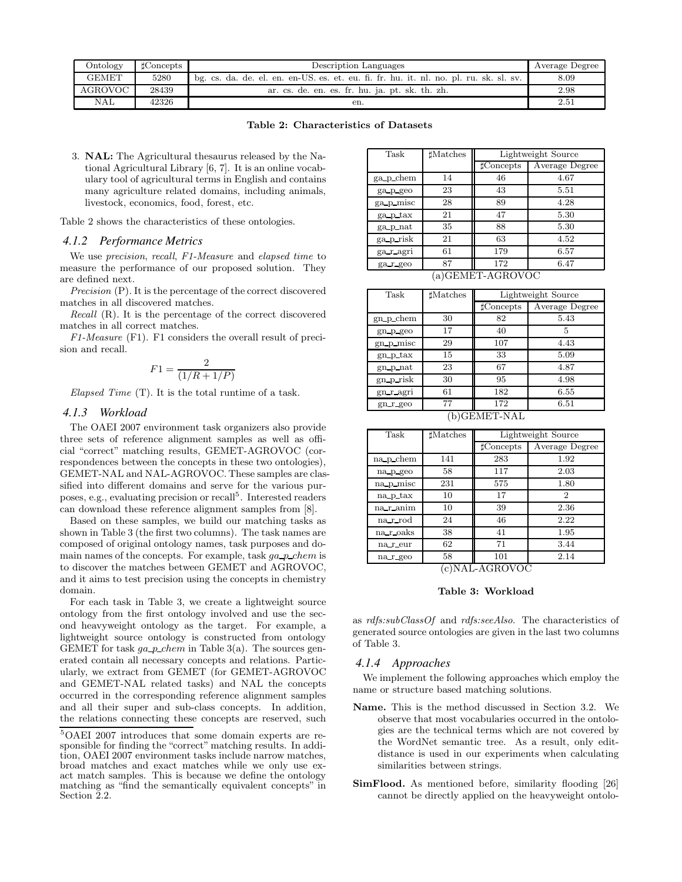| Ontology       | $t$ Concepts | Description Languages                                                                  | Average Degree |
|----------------|--------------|----------------------------------------------------------------------------------------|----------------|
| <b>GEMET</b>   | 5280         | bg. cs. da. de. el. en. en-US. es. et. eu. fi. fr. hu. it. nl. no. pl. ru. sk. sl. sv. | 8.09           |
| <b>AGROVOC</b> | 28439        | ar. cs. de. en. es. fr. hu. ja. pt. sk. th. zh.                                        | 2.98           |
| <b>NAL</b>     | 42326        | en.                                                                                    | $_{2.51}$      |

#### **Table 2: Characteristics of Datasets**

3. **NAL:** The Agricultural thesaurus released by the National Agricultural Library [6, 7]. It is an online vocabulary tool of agricultural terms in English and contains many agriculture related domains, including animals, livestock, economics, food, forest, etc.

Table 2 shows the characteristics of these ontologies.

#### *4.1.2 Performance Metrics*

We use *precision*, *recall*, *F1-Measure* and *elapsed time* to measure the performance of our proposed solution. They are defined next.

*Precision* (P). It is the percentage of the correct discovered matches in all discovered matches.

*Recall* (R). It is the percentage of the correct discovered matches in all correct matches.

*F1-Measure* (F1). F1 considers the overall result of precision and recall.

$$
F1 = \frac{2}{(1/R + 1/P)}
$$

*Elapsed Time* (T). It is the total runtime of a task.

## *4.1.3 Workload*

The OAEI 2007 environment task organizers also provide three sets of reference alignment samples as well as official "correct" matching results, GEMET-AGROVOC (correspondences between the concepts in these two ontologies), GEMET-NAL and NAL-AGROVOC. These samples are classified into different domains and serve for the various purposes, e.g., evaluating precision or recall<sup>5</sup>. Interested readers can download these reference alignment samples from [8].

Based on these samples, we build our matching tasks as shown in Table 3 (the first two columns). The task names are composed of original ontology names, task purposes and domain names of the concepts. For example, task  $qa$  p chem is to discover the matches between GEMET and AGROVOC, and it aims to test precision using the concepts in chemistry domain.

For each task in Table 3, we create a lightweight source ontology from the first ontology involved and use the second heavyweight ontology as the target. For example, a lightweight source ontology is constructed from ontology GEMET for task  $ga\_p\_chem$  in Table 3(a). The sources generated contain all necessary concepts and relations. Particularly, we extract from GEMET (for GEMET-AGROVOC and GEMET-NAL related tasks) and NAL the concepts occurred in the corresponding reference alignment samples and all their super and sub-class concepts. In addition, the relations connecting these concepts are reserved, such

| Task            | <b>Matches</b> |                 | Lightweight Source |  |  |
|-----------------|----------------|-----------------|--------------------|--|--|
|                 |                | <b>Concepts</b> | Average Degree     |  |  |
| ga p chem       | 14             | 46              | 4.67               |  |  |
| ga p geo        | 23             | 43              | 5.51               |  |  |
| ga p misc       | 28             | 89              | 4.28               |  |  |
| ga_p_tax        | 21             | 47              | 5.30               |  |  |
| ga p_nat        | 35             | 88              | 5.30               |  |  |
| ga prisk        | 21             | 63              | 4.52               |  |  |
| ga_r_agri       | 61             | 179             | 6.57               |  |  |
| ga r geo        | 87             | 172             | 6.47               |  |  |
| a)GEMET-AGROVOC |                |                 |                    |  |  |

| Task          | $\sharp$ Matches | Lightweight Source |                |
|---------------|------------------|--------------------|----------------|
|               |                  | $\sharp$ Concepts  | Average Degree |
| $gn\_p\_chem$ | 30               | 82                 | 5.43           |
| $gn_p$ geo    | 17               | 40                 | 5              |
| gn p misc     | 29               | 107                | 4.43           |
| gn p tax      | 15               | 33                 | 5.09           |
| gn_p_nat      | 23               | 67                 | 4.87           |
| gn_p_risk     | 30               | 95                 | 4.98           |
| gn r agri     | 61               | 182                | 6.55           |
| $gn_r$ geo    | 77               | 172                | 6.51           |

(b)GEMET-NAL

| Task      | <b>Matches</b> | Lightweight Source |                |  |
|-----------|----------------|--------------------|----------------|--|
|           |                | <b>Concepts</b>    | Average Degree |  |
| na p chem | 141            | 283                | 1.92           |  |
| na p geo  | 58             | 117                | 2.03           |  |
| na p_misc | 231            | 575                | 1.80           |  |
| na_p_tax  | 10             | 17                 | 2              |  |
| na_r_anim | 10             | 39                 | 2.36           |  |
| na_r_rod  | 24             | 46                 | 2.22           |  |
| na r oaks | 38             | 41                 | 1.95           |  |
| na r_eur  | 62             | 71                 | 3.44           |  |
| na r geo  | 58             | 101                | 2.14           |  |

(c)NAL-AGROVOC

#### **Table 3: Workload**

as *rdfs:subClassOf* and *rdfs:seeAlso*. The characteristics of generated source ontologies are given in the last two columns of Table 3.

#### *4.1.4 Approaches*

We implement the following approaches which employ the name or structure based matching solutions.

- **Name.** This is the method discussed in Section 3.2. We observe that most vocabularies occurred in the ontologies are the technical terms which are not covered by the WordNet semantic tree. As a result, only editdistance is used in our experiments when calculating similarities between strings.
- SimFlood. As mentioned before, similarity flooding [26] cannot be directly applied on the heavyweight ontolo-

<sup>5</sup>OAEI 2007 introduces that some domain experts are responsible for finding the "correct" matching results. In addition, OAEI 2007 environment tasks include narrow matches, broad matches and exact matches while we only use exact match samples. This is because we define the ontology matching as "find the semantically equivalent concepts" in Section 2.2.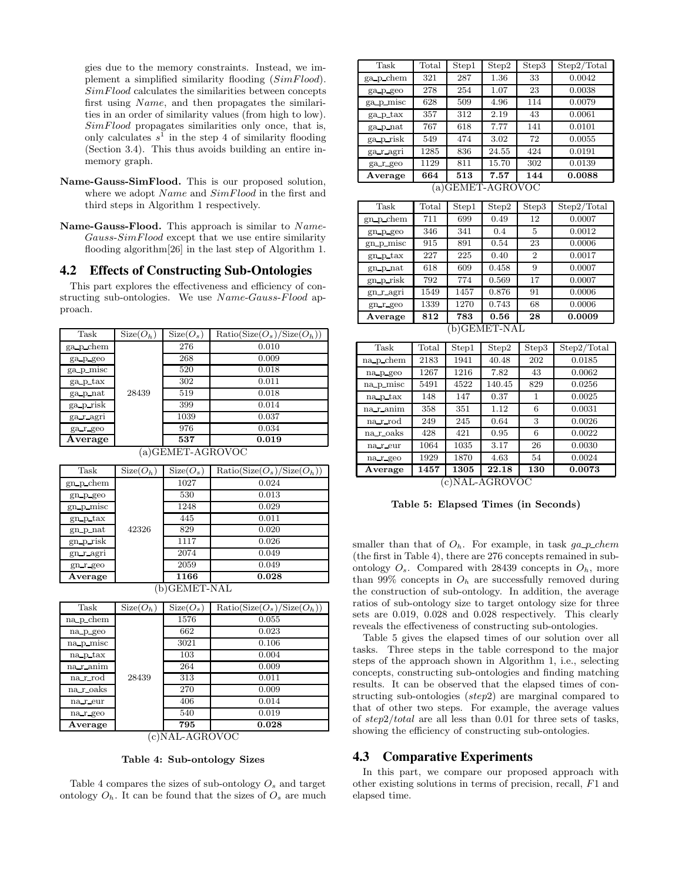gies due to the memory constraints. Instead, we implement a simplified similarity flooding  $(SimFlood)$ .  $SimFlood$  calculates the similarities between concepts first using Name, and then propagates the similarities in an order of similarity values (from high to low).  $SimFlood$  propagates similarities only once, that is, only calculates  $s^1$  in the step 4 of similarity flooding (Section 3.4). This thus avoids building an entire inmemory graph.

- **Name-Gauss-SimFlood.** This is our proposed solution, where we adopt Name and  $SimFlood$  in the first and third steps in Algorithm 1 respectively.
- **Name-Gauss-Flood.** This approach is similar to Name- $Gauss-SimFlood$  except that we use entire similarity flooding algorithm[26] in the last step of Algorithm 1.

# **4.2 Effects of Constructing Sub-Ontologies**

This part explores the effectiveness and efficiency of constructing sub-ontologies. We use  $Name-Gauss-Flood$  approach.

| Task             | $Size(O_h)$ | $Size(O_s)$ | $Ratio(Size(Os)/Size(Oh))$ |  |  |
|------------------|-------------|-------------|----------------------------|--|--|
| ga p_chem        |             | 276         | 0.010                      |  |  |
| ga_p_geo         |             | 268         | 0.009                      |  |  |
| ga_p_misc        |             | 520         | 0.018                      |  |  |
| ga_p_tax         | 28439       | 302         | 0.011                      |  |  |
| ga_p_nat         |             | 519         | 0.018                      |  |  |
| ga prisk         |             | 399         | 0.014                      |  |  |
| ga_r_agri        |             | 1039        | 0.037                      |  |  |
| ga r geo         |             | 976         | 0.034                      |  |  |
| Average          |             | 537         | 0.019                      |  |  |
| (a)GEMET-AGROVOC |             |             |                            |  |  |

| Task           | $Size(O_h)$ | $Size(O_s)$ | $Ratio(Size(Os)/Size(Oh))$ |  |  |
|----------------|-------------|-------------|----------------------------|--|--|
| $gn\_p\_chem$  |             | 1027        | 0.024                      |  |  |
| $gn_p$ geo     |             | 530         | 0.013                      |  |  |
| gn p misc      |             | 1248        | 0.029                      |  |  |
| gn p tax       |             | 445         | 0.011                      |  |  |
| gn_p_nat       | 42326       | 829         | 0.020                      |  |  |
| gn_p_risk      |             | 1117        | 0.026                      |  |  |
| gn_r_agri      |             | 2074        | 0.049                      |  |  |
| $gn$ $r$ $geo$ |             | 2059        | 0.049                      |  |  |
| Average        |             | 1166        | 0.028                      |  |  |
| GEMET-NAL<br>b |             |             |                            |  |  |

| Task          | $Size(O_h)$ | $Size(O_s)$ | $Ratio(Size(Os)/Size(Oh))$ |  |  |
|---------------|-------------|-------------|----------------------------|--|--|
| na p chem     |             | 1576        | 0.055                      |  |  |
| na p geo      | 28439       | 662         | 0.023                      |  |  |
| na p_misc     |             | 3021        | 0.106                      |  |  |
| na p tax      |             | 103         | 0.004                      |  |  |
| na r_anim     |             | 264         | 0.009                      |  |  |
| na_r_rod      |             | 313         | 0.011                      |  |  |
| na roaks      |             | 270         | 0.009                      |  |  |
| na_r_eur      |             | 406         | 0.014                      |  |  |
| na r geo      |             | 540         | 0.019                      |  |  |
| Average       |             | 795         | 0.028                      |  |  |
| c)NAL-AGROVOC |             |             |                            |  |  |

**Table 4: Sub-ontology Sizes**

Table 4 compares the sizes of sub-ontology O*<sup>s</sup>* and target ontology  $O_h$ . It can be found that the sizes of  $O_s$  are much

| Task            | Total | Step1 | Step2 | Step3 | Step 2/Total |
|-----------------|-------|-------|-------|-------|--------------|
| ga_p_chem       | 321   | 287   | 1.36  | 33    | 0.0042       |
| ga p geo        | 278   | 254   | 1.07  | 23    | 0.0038       |
| ga p misc       | 628   | 509   | 4.96  | 114   | 0.0079       |
| ga p tax        | 357   | 312   | 2.19  | 43    | 0.0061       |
| ga_p_nat        | 767   | 618   | 7.77  | 141   | 0.0101       |
| ga prisk        | 549   | 474   | 3.02  | 72    | 0.0055       |
| ga r agri       | 1285  | 836   | 24.55 | 424   | 0.0191       |
| ga_r_geo        | 1129  | 811   | 15.70 | 302   | 0.0139       |
| Average         | 664   | 513   | 7.57  | 144   | 0.0088       |
| a)GEMET-AGROVOC |       |       |       |       |              |

| Task        | Total | Step1 | Step2 | Step3          | Step2/Total |
|-------------|-------|-------|-------|----------------|-------------|
| $gn_p$ chem | 711   | 699   | 0.49  | 12             | 0.0007      |
| gn_p_geo    | 346   | 341   | 0.4   | 5              | 0.0012      |
| gn_p_misc   | 915   | 891   | 0.54  | 23             | 0.0006      |
| gn_p_tax    | 227   | 225   | 0.40  | $\overline{2}$ | 0.0017      |
| gn p nat    | 618   | 609   | 0.458 | 9              | 0.0007      |
| gn_p_risk   | 792   | 774   | 0.569 | 17             | 0.0007      |
| gn_r_agri   | 1549  | 1457  | 0.876 | 91             | 0.0006      |
| $gn_r$ geo  | 1339  | 1270  | 0.743 | 68             | 0.0006      |
| Average     | 812   | 783   | 0.56  | 28             | 0.0009      |
| b)GEMET-NAL |       |       |       |                |             |

| Task          | Total | Step1 | Step2  | Step3 | Step2/Total |
|---------------|-------|-------|--------|-------|-------------|
| na p_chem     | 2183  | 1941  | 40.48  | 202   | 0.0185      |
| na p geo      | 1267  | 1216  | 7.82   | 43    | 0.0062      |
| na p misc     | 5491  | 4522  | 140.45 | 829   | 0.0256      |
| na p tax      | 148   | 147   | 0.37   | 1     | 0.0025      |
| na_r_anim     | 358   | 351   | 1.12   | 6     | 0.0031      |
| na_r_rod      | 249   | 245   | 0.64   | 3     | 0.0026      |
| na_r_oaks     | 428   | 421   | 0.95   | 6     | 0.0022      |
| na r eur      | 1064  | 1035  | 3.17   | 26    | 0.0030      |
| na_r_geo      | 1929  | 1870  | 4.63   | 54    | 0.0024      |
| Average       | 1457  | 1305  | 22.18  | 130   | 0.0073      |
| c)NAL-AGROVOC |       |       |        |       |             |

**Table 5: Elapsed Times (in Seconds)**

smaller than that of  $O_h$ . For example, in task  $ga\_p\_chem$ (the first in Table 4), there are 276 concepts remained in subontology  $O_s$ . Compared with 28439 concepts in  $O_h$ , more than 99% concepts in  $O_h$  are successfully removed during the construction of sub-ontology. In addition, the average ratios of sub-ontology size to target ontology size for three sets are 0.019, 0.028 and 0.028 respectively. This clearly reveals the effectiveness of constructing sub-ontologies.

Table 5 gives the elapsed times of our solution over all tasks. Three steps in the table correspond to the major steps of the approach shown in Algorithm 1, i.e., selecting concepts, constructing sub-ontologies and finding matching results. It can be observed that the elapsed times of constructing sub-ontologies (step2) are marginal compared to that of other two steps. For example, the average values of step2/total are all less than 0.01 for three sets of tasks, showing the efficiency of constructing sub-ontologies.

## **4.3 Comparative Experiments**

In this part, we compare our proposed approach with other existing solutions in terms of precision, recall, F1 and elapsed time.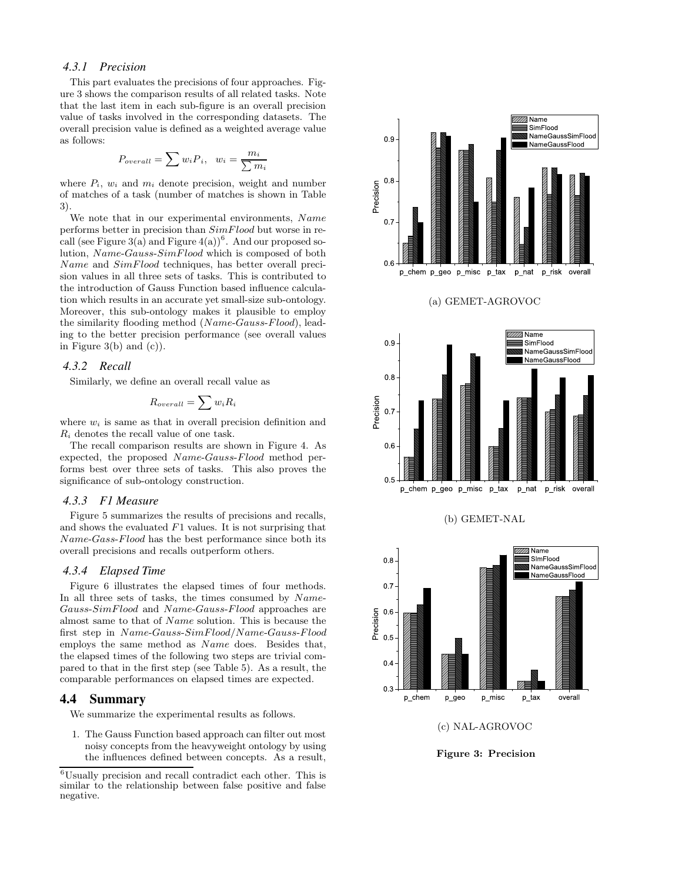#### *4.3.1 Precision*

This part evaluates the precisions of four approaches. Figure 3 shows the comparison results of all related tasks. Note that the last item in each sub-figure is an overall precision value of tasks involved in the corresponding datasets. The overall precision value is defined as a weighted average value as follows:

$$
P_{overall} = \sum w_i P_i, \ \ w_i = \frac{m_i}{\sum m_i}
$$

where  $P_i$ ,  $w_i$  and  $m_i$  denote precision, weight and number of matches of a task (number of matches is shown in Table 3).

We note that in our experimental environments, Name performs better in precision than  $SimF$  lood but worse in recall (see Figure 3(a) and Figure  $4(a)$ <sup>6</sup>. And our proposed solution, Name-Gauss-SimFlood which is composed of both Name and  $SimFlood$  techniques, has better overall precision values in all three sets of tasks. This is contributed to the introduction of Gauss Function based influence calculation which results in an accurate yet small-size sub-ontology. Moreover, this sub-ontology makes it plausible to employ the similarity flooding method (Name-Gauss-Flood), leading to the better precision performance (see overall values in Figure  $3(b)$  and  $(c)$ ).

#### *4.3.2 Recall*

Similarly, we define an overall recall value as

$$
R_{overall} = \sum w_i R_i
$$

where  $w_i$  is same as that in overall precision definition and  $R_i$  denotes the recall value of one task.

The recall comparison results are shown in Figure 4. As expected, the proposed Name-Gauss-Flood method performs best over three sets of tasks. This also proves the significance of sub-ontology construction.

#### *4.3.3 F1 Measure*

Figure 5 summarizes the results of precisions and recalls, and shows the evaluated  $F1$  values. It is not surprising that Name-Gass-Flood has the best performance since both its overall precisions and recalls outperform others.

#### *4.3.4 Elapsed Time*

Figure 6 illustrates the elapsed times of four methods. In all three sets of tasks, the times consumed by Name-Gauss-SimFlood and Name-Gauss-Flood approaches are almost same to that of Name solution. This is because the first step in Name-Gauss-SimFlood/Name-Gauss-Flood employs the same method as Name does. Besides that, the elapsed times of the following two steps are trivial compared to that in the first step (see Table 5). As a result, the comparable performances on elapsed times are expected.

#### **4.4 Summary**

We summarize the experimental results as follows.

1. The Gauss Function based approach can filter out most noisy concepts from the heavyweight ontology by using the influences defined between concepts. As a result,

 $^6\!$  Usually precision and recall contradict each other. This is similar to the relationship between false positive and false negative.



**Figure 3: Precision**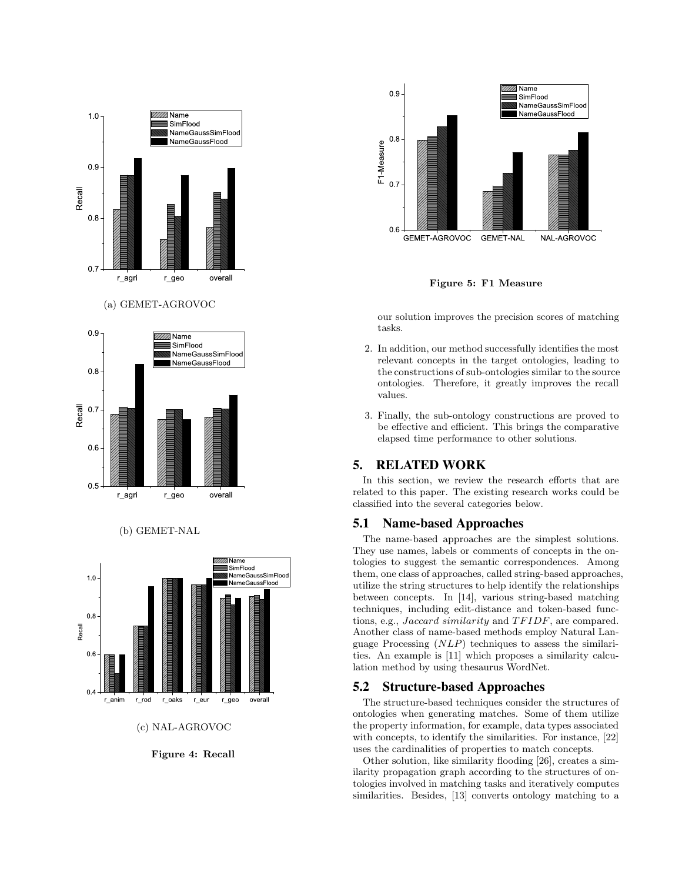



(b) GEMET-NAL



**Figure 4: Recall**



**Figure 5: F1 Measure**

our solution improves the precision scores of matching tasks.

- 2. In addition, our method successfully identifies the most relevant concepts in the target ontologies, leading to the constructions of sub-ontologies similar to the source ontologies. Therefore, it greatly improves the recall values.
- 3. Finally, the sub-ontology constructions are proved to be effective and efficient. This brings the comparative elapsed time performance to other solutions.

# **5. RELATED WORK**

In this section, we review the research efforts that are related to this paper. The existing research works could be classified into the several categories below.

# **5.1 Name-based Approaches**

The name-based approaches are the simplest solutions. They use names, labels or comments of concepts in the ontologies to suggest the semantic correspondences. Among them, one class of approaches, called string-based approaches, utilize the string structures to help identify the relationships between concepts. In [14], various string-based matching techniques, including edit-distance and token-based functions, e.g., Jaccard similarity and TF IDF, are compared. Another class of name-based methods employ Natural Language Processing (NLP) techniques to assess the similarities. An example is [11] which proposes a similarity calculation method by using thesaurus WordNet.

# **5.2 Structure-based Approaches**

The structure-based techniques consider the structures of ontologies when generating matches. Some of them utilize the property information, for example, data types associated with concepts, to identify the similarities. For instance, [22] uses the cardinalities of properties to match concepts.

Other solution, like similarity flooding [26], creates a similarity propagation graph according to the structures of ontologies involved in matching tasks and iteratively computes similarities. Besides, [13] converts ontology matching to a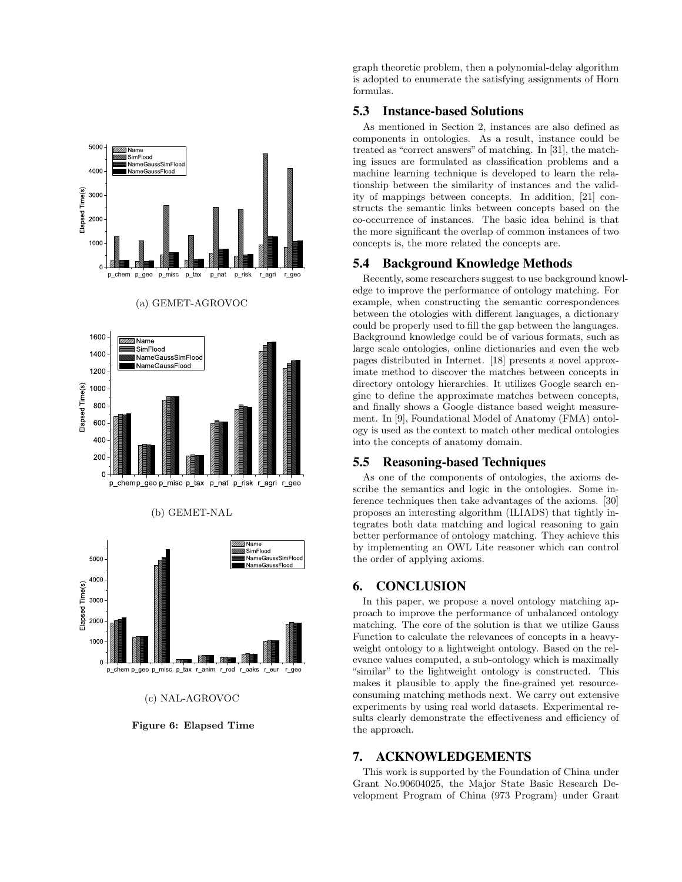

(c) NAL-AGROVOC

**Figure 6: Elapsed Time**

graph theoretic problem, then a polynomial-delay algorithm is adopted to enumerate the satisfying assignments of Horn formulas.

## **5.3 Instance-based Solutions**

As mentioned in Section 2, instances are also defined as components in ontologies. As a result, instance could be treated as "correct answers" of matching. In [31], the matching issues are formulated as classification problems and a machine learning technique is developed to learn the relationship between the similarity of instances and the validity of mappings between concepts. In addition, [21] constructs the semantic links between concepts based on the co-occurrence of instances. The basic idea behind is that the more significant the overlap of common instances of two concepts is, the more related the concepts are.

## **5.4 Background Knowledge Methods**

Recently, some researchers suggest to use background knowledge to improve the performance of ontology matching. For example, when constructing the semantic correspondences between the otologies with different languages, a dictionary could be properly used to fill the gap between the languages. Background knowledge could be of various formats, such as large scale ontologies, online dictionaries and even the web pages distributed in Internet. [18] presents a novel approximate method to discover the matches between concepts in directory ontology hierarchies. It utilizes Google search engine to define the approximate matches between concepts, and finally shows a Google distance based weight measurement. In [9], Foundational Model of Anatomy (FMA) ontology is used as the context to match other medical ontologies into the concepts of anatomy domain.

## **5.5 Reasoning-based Techniques**

As one of the components of ontologies, the axioms describe the semantics and logic in the ontologies. Some inference techniques then take advantages of the axioms. [30] proposes an interesting algorithm (ILIADS) that tightly integrates both data matching and logical reasoning to gain better performance of ontology matching. They achieve this by implementing an OWL Lite reasoner which can control the order of applying axioms.

## **6. CONCLUSION**

In this paper, we propose a novel ontology matching approach to improve the performance of unbalanced ontology matching. The core of the solution is that we utilize Gauss Function to calculate the relevances of concepts in a heavyweight ontology to a lightweight ontology. Based on the relevance values computed, a sub-ontology which is maximally "similar" to the lightweight ontology is constructed. This makes it plausible to apply the fine-grained yet resourceconsuming matching methods next. We carry out extensive experiments by using real world datasets. Experimental results clearly demonstrate the effectiveness and efficiency of the approach.

# **7. ACKNOWLEDGEMENTS**

This work is supported by the Foundation of China under Grant No.90604025, the Major State Basic Research Development Program of China (973 Program) under Grant